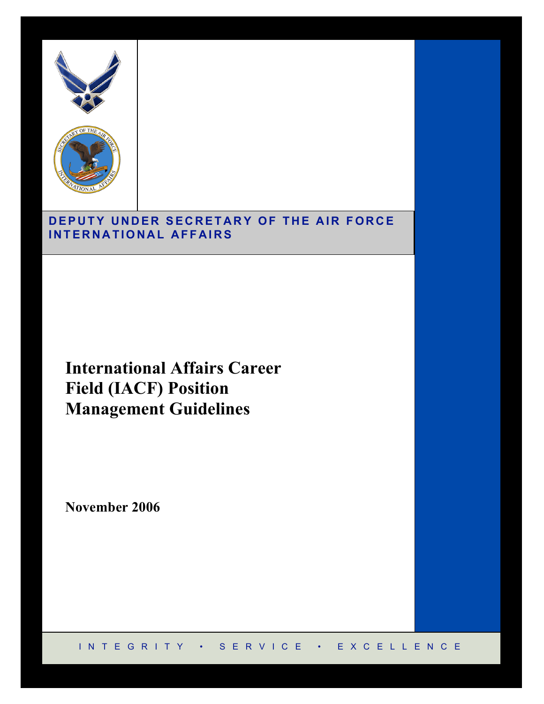



## DEPUTY UNDER SECRETARY OF THE AIR FORCE **I N T E R N A TIO N A L A FF A I R S**

**International Affairs Career Field (IACF) Position Management Guidelines**

**November 2006**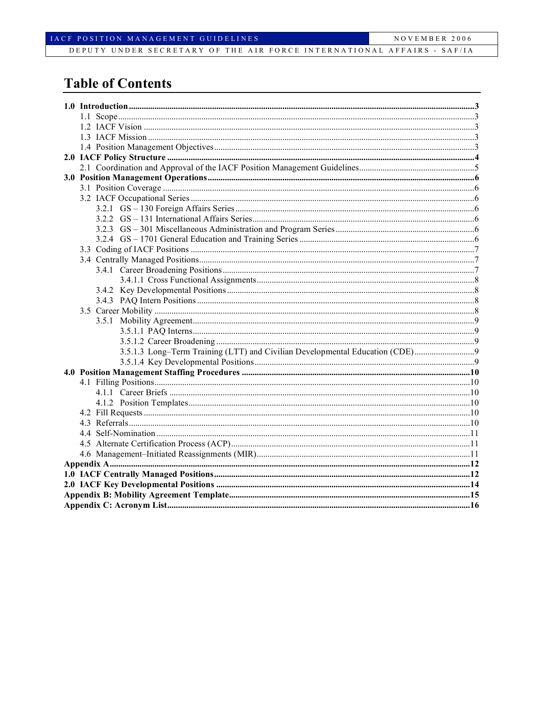## **Table of Contents**

|  | 3.5.1.3 Long-Term Training (LTT) and Civilian Developmental Education (CDE)9 |  |  |  |  |
|--|------------------------------------------------------------------------------|--|--|--|--|
|  |                                                                              |  |  |  |  |
|  |                                                                              |  |  |  |  |
|  |                                                                              |  |  |  |  |
|  |                                                                              |  |  |  |  |
|  |                                                                              |  |  |  |  |
|  |                                                                              |  |  |  |  |
|  |                                                                              |  |  |  |  |
|  |                                                                              |  |  |  |  |
|  |                                                                              |  |  |  |  |
|  |                                                                              |  |  |  |  |
|  |                                                                              |  |  |  |  |
|  |                                                                              |  |  |  |  |
|  |                                                                              |  |  |  |  |
|  |                                                                              |  |  |  |  |
|  |                                                                              |  |  |  |  |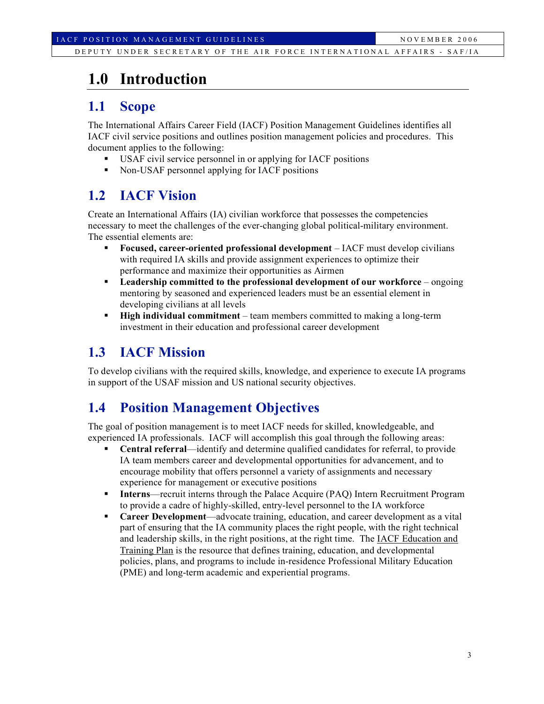# **1.0 Introduction**

## **1.1 Scope**

The International Affairs Career Field (IACF) Position Management Guidelines identifies all IACF civil service positions and outlines position management policies and procedures. This document applies to the following:

- USAF civil service personnel in or applying for IACF positions
- Non-USAF personnel applying for IACF positions

## **1.2 IACF Vision**

Create an International Affairs (IA) civilian workforce that possesses the competencies necessary to meet the challenges of the ever-changing global political-military environment. The essential elements are:

- **Focused, career-oriented professional development** IACF must develop civilians with required IA skills and provide assignment experiences to optimize their performance and maximize their opportunities as Airmen
- **Leadership committed to the professional development of our workforce** ongoing mentoring by seasoned and experienced leaders must be an essential element in developing civilians at all levels
- **High individual commitment** team members committed to making a long-term investment in their education and professional career development

## **1.3 IACF Mission**

To develop civilians with the required skills, knowledge, and experience to execute IA programs in support of the USAF mission and US national security objectives.

## **1.4 Position Management Objectives**

The goal of position management is to meet IACF needs for skilled, knowledgeable, and experienced IA professionals. IACF will accomplish this goal through the following areas:

- **Central referral—identify and determine qualified candidates for referral, to provide** IA team members career and developmental opportunities for advancement, and to encourage mobility that offers personnel a variety of assignments and necessary experience for management or executive positions
- **Interns**—recruit interns through the Palace Acquire (PAQ) Intern Recruitment Program to provide a cadre of highly-skilled, entry-level personnel to the IA workforce
- **Career Development**—advocate training, education, and career development as a vital part of ensuring that the IA community places the right people, with the right technical and leadership skills, in the right positions, at the right time. The IACF Education and Training Plan is the resource that defines training, education, and developmental policies, plans, and programs to include in-residence Professional Military Education (PME) and long-term academic and experiential programs.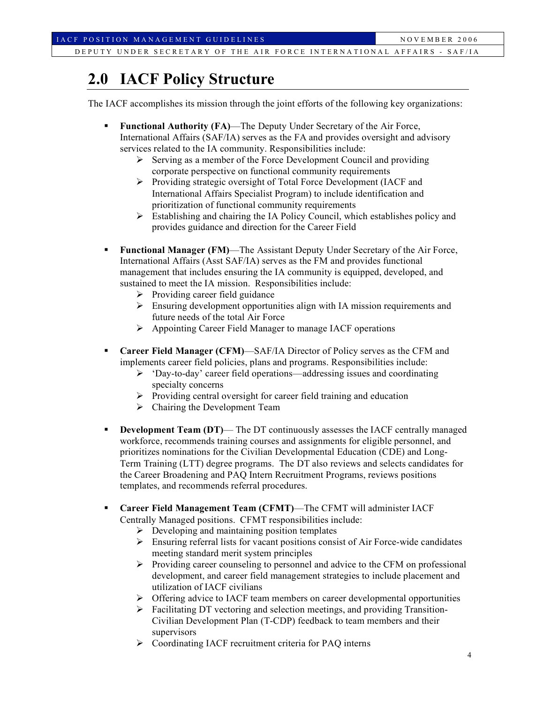# **2.0 IACF Policy Structure**

The IACF accomplishes its mission through the joint efforts of the following key organizations:

- **Functional Authority (FA)**—The Deputy Under Secretary of the Air Force, International Affairs (SAF/IA) serves as the FA and provides oversight and advisory services related to the IA community. Responsibilities include:
	- $\triangleright$  Serving as a member of the Force Development Council and providing corporate perspective on functional community requirements
	- Providing strategic oversight of Total Force Development (IACF and International Affairs Specialist Program) to include identification and prioritization of functional community requirements
	- $\triangleright$  Establishing and chairing the IA Policy Council, which establishes policy and provides guidance and direction for the Career Field
- **Functional Manager (FM)**—The Assistant Deputy Under Secretary of the Air Force, International Affairs (Asst SAF/IA) serves as the FM and provides functional management that includes ensuring the IA community is equipped, developed, and sustained to meet the IA mission. Responsibilities include:
	- $\triangleright$  Providing career field guidance
	- $\triangleright$  Ensuring development opportunities align with IA mission requirements and future needs of the total Air Force
	- Appointing Career Field Manager to manage IACF operations
- **Career Field Manager (CFM)**—SAF/IA Director of Policy serves as the CFM and implements career field policies, plans and programs. Responsibilities include:
	- $\triangleright$  'Day-to-day' career field operations—addressing issues and coordinating specialty concerns
	- $\triangleright$  Providing central oversight for career field training and education
	- $\triangleright$  Chairing the Development Team
- **Development Team (DT)** The DT continuously assesses the IACF centrally managed workforce, recommends training courses and assignments for eligible personnel, and prioritizes nominations for the Civilian Developmental Education (CDE) and Long-Term Training (LTT) degree programs. The DT also reviews and selects candidates for the Career Broadening and PAQ Intern Recruitment Programs, reviews positions templates, and recommends referral procedures.
- **Career Field Management Team (CFMT)**—The CFMT will administer IACF Centrally Managed positions. CFMT responsibilities include:
	- $\triangleright$  Developing and maintaining position templates
	- $\triangleright$  Ensuring referral lists for vacant positions consist of Air Force-wide candidates meeting standard merit system principles
	- $\triangleright$  Providing career counseling to personnel and advice to the CFM on professional development, and career field management strategies to include placement and utilization of IACF civilians
	- $\triangleright$  Offering advice to IACF team members on career developmental opportunities
	- $\triangleright$  Facilitating DT vectoring and selection meetings, and providing Transition-Civilian Development Plan (T-CDP) feedback to team members and their supervisors
	- Coordinating IACF recruitment criteria for PAQ interns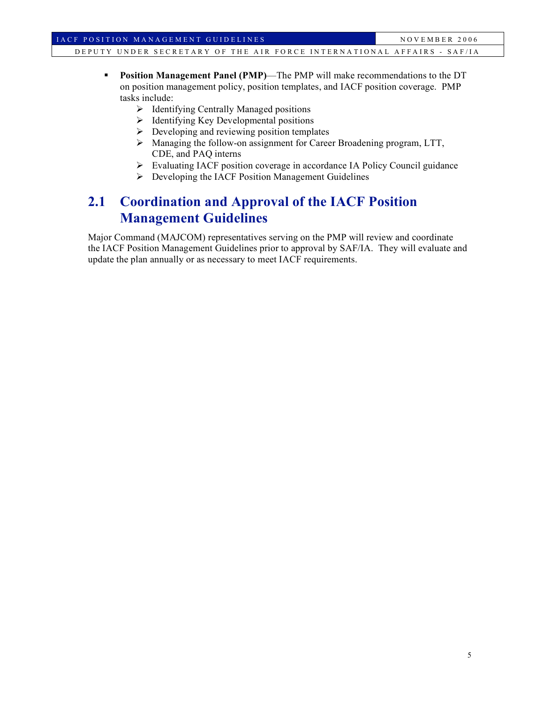- **Position Management Panel (PMP)—The PMP will make recommendations to the DT** on position management policy, position templates, and IACF position coverage. PMP tasks include:
	- $\triangleright$  Identifying Centrally Managed positions
	- $\triangleright$  Identifying Key Developmental positions
	- $\triangleright$  Developing and reviewing position templates
	- Managing the follow-on assignment for Career Broadening program, LTT, CDE, and PAQ interns
	- Evaluating IACF position coverage in accordance IA Policy Council guidance
	- **Developing the IACF Position Management Guidelines**

## **2.1 Coordination and Approval of the IACF Position Management Guidelines**

Major Command (MAJCOM) representatives serving on the PMP will review and coordinate the IACF Position Management Guidelines prior to approval by SAF/IA. They will evaluate and update the plan annually or as necessary to meet IACF requirements.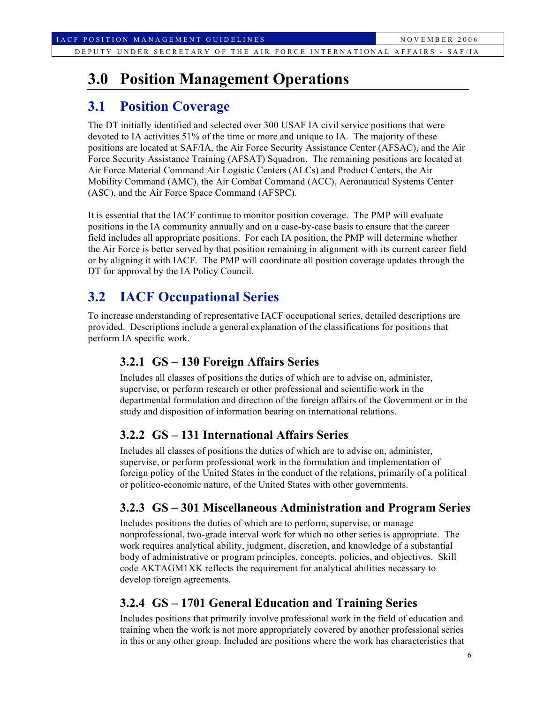# **3.0 Position Management Operations**

## **3.1 Position Coverage**

The DT initially identified and selected over 300 USAF IA civil service positions that were devoted to IA activities 51% of the time or more and unique to IA. The majority of these positions are located at SAF/IA, the Air Force Security Assistance Center (AFSAC), and the Air Force Security Assistance Training (AFSAT) Squadron. The remaining positions are located at Air Force Material Command Air Logistic Centers (ALCs) and Product Centers, the Air Mobility Command (AMC), the Air Combat Command (ACC), Aeronautical Systems Center (ASC), and the Air Force Space Command (AFSPC).

It is essential that the IACF continue to monitor position coverage. The PMP will evaluate positions in the IA community annually and on a case-by-case basis to ensure that the career field includes all appropriate positions. For each IA position, the PMP will determine whether the Air Force is better served by that position remaining in alignment with its current career field or by aligning it with IACF. The PMP will coordinate all position coverage updates through the DT for approval by the IA Policy Council.

## **3.2 IACF Occupational Series**

To increase understanding of representative IACF occupational series, detailed descriptions are provided. Descriptions include a general explanation of the classifications for positions that perform IA specific work.

### **3.2.1 GS – 130 Foreign Affairs Series**

Includes all classes of positions the duties of which are to advise on, administer, supervise, or perform research or other professional and scientific work in the departmental formulation and direction of the foreign affairs of the Government or in the study and disposition of information bearing on international relations.

### **3.2.2 GS – 131 International Affairs Series**

Includes all classes of positions the duties of which are to advise on, administer, supervise, or perform professional work in the formulation and implementation of foreign policy of the United States in the conduct of the relations, primarily of a political or politico-economic nature, of the United States with other governments.

### **3.2.3 GS – 301 Miscellaneous Administration and Program Series**

Includes positions the duties of which are to perform, supervise, or manage nonprofessional, two-grade interval work for which no other series is appropriate. The work requires analytical ability, judgment, discretion, and knowledge of a substantial body of administrative or program principles, concepts, policies, and objectives. Skill code AKTAGM1XK reflects the requirement for analytical abilities necessary to develop foreign agreements.

### **3.2.4 GS – 1701 General Education and Training Series**

Includes positions that primarily involve professional work in the field of education and training when the work is not more appropriately covered by another professional series in this or any other group. Included are positions where the work has characteristics that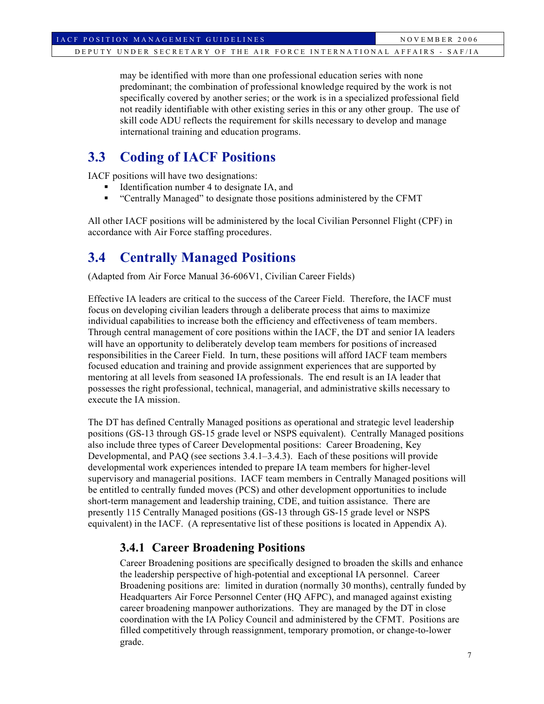may be identified with more than one professional education series with none predominant; the combination of professional knowledge required by the work is not specifically covered by another series; or the work is in a specialized professional field not readily identifiable with other existing series in this or any other group. The use of skill code ADU reflects the requirement for skills necessary to develop and manage international training and education programs.

## **3.3 Coding of IACF Positions**

IACF positions will have two designations:

- Identification number 4 to designate IA, and
- "Centrally Managed" to designate those positions administered by the CFMT

All other IACF positions will be administered by the local Civilian Personnel Flight (CPF) in accordance with Air Force staffing procedures.

## **3.4 Centrally Managed Positions**

(Adapted from Air Force Manual 36-606V1, Civilian Career Fields)

Effective IA leaders are critical to the success of the Career Field. Therefore, the IACF must focus on developing civilian leaders through a deliberate process that aims to maximize individual capabilities to increase both the efficiency and effectiveness of team members. Through central management of core positions within the IACF, the DT and senior IA leaders will have an opportunity to deliberately develop team members for positions of increased responsibilities in the Career Field. In turn, these positions will afford IACF team members focused education and training and provide assignment experiences that are supported by mentoring at all levels from seasoned IA professionals. The end result is an IA leader that possesses the right professional, technical, managerial, and administrative skills necessary to execute the IA mission.

The DT has defined Centrally Managed positions as operational and strategic level leadership positions (GS-13 through GS-15 grade level or NSPS equivalent). Centrally Managed positions also include three types of Career Developmental positions: Career Broadening, Key Developmental, and PAQ (see sections 3.4.1–3.4.3). Each of these positions will provide developmental work experiences intended to prepare IA team members for higher-level supervisory and managerial positions. IACF team members in Centrally Managed positions will be entitled to centrally funded moves (PCS) and other development opportunities to include short-term management and leadership training, CDE, and tuition assistance. There are presently 115 Centrally Managed positions (GS-13 through GS-15 grade level or NSPS equivalent) in the IACF. (A representative list of these positions is located in Appendix A).

### **3.4.1 Career Broadening Positions**

Career Broadening positions are specifically designed to broaden the skills and enhance the leadership perspective of high-potential and exceptional IA personnel. Career Broadening positions are: limited in duration (normally 30 months), centrally funded by Headquarters Air Force Personnel Center (HQ AFPC), and managed against existing career broadening manpower authorizations. They are managed by the DT in close coordination with the IA Policy Council and administered by the CFMT. Positions are filled competitively through reassignment, temporary promotion, or change-to-lower grade.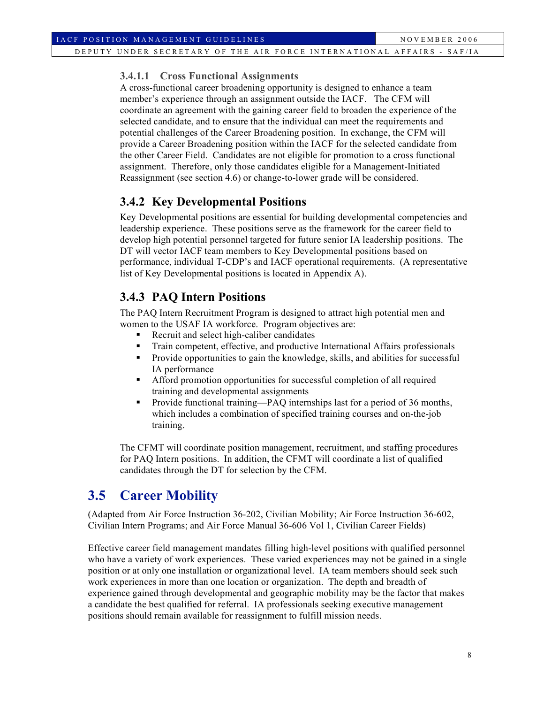#### **3.4.1.1 Cross Functional Assignments**

A cross-functional career broadening opportunity is designed to enhance a team member's experience through an assignment outside the IACF. The CFM will coordinate an agreement with the gaining career field to broaden the experience of the selected candidate, and to ensure that the individual can meet the requirements and potential challenges of the Career Broadening position. In exchange, the CFM will provide a Career Broadening position within the IACF for the selected candidate from the other Career Field. Candidates are not eligible for promotion to a cross functional assignment. Therefore, only those candidates eligible for a Management-Initiated Reassignment (see section 4.6) or change-to-lower grade will be considered.

### **3.4.2 Key Developmental Positions**

Key Developmental positions are essential for building developmental competencies and leadership experience. These positions serve as the framework for the career field to develop high potential personnel targeted for future senior IA leadership positions. The DT will vector IACF team members to Key Developmental positions based on performance, individual T-CDP's and IACF operational requirements. (A representative list of Key Developmental positions is located in Appendix A).

### **3.4.3 PAQ Intern Positions**

The PAQ Intern Recruitment Program is designed to attract high potential men and women to the USAF IA workforce. Program objectives are:

- Recruit and select high-caliber candidates
- Train competent, effective, and productive International Affairs professionals
- **Provide opportunities to gain the knowledge, skills, and abilities for successful** IA performance
- Afford promotion opportunities for successful completion of all required training and developmental assignments
- Provide functional training—PAQ internships last for a period of 36 months, which includes a combination of specified training courses and on-the-job training.

The CFMT will coordinate position management, recruitment, and staffing procedures for PAQ Intern positions. In addition, the CFMT will coordinate a list of qualified candidates through the DT for selection by the CFM.

## **3.5 Career Mobility**

(Adapted from Air Force Instruction 36-202, Civilian Mobility; Air Force Instruction 36-602, Civilian Intern Programs; and Air Force Manual 36-606 Vol 1, Civilian Career Fields)

Effective career field management mandates filling high-level positions with qualified personnel who have a variety of work experiences. These varied experiences may not be gained in a single position or at only one installation or organizational level. IA team members should seek such work experiences in more than one location or organization. The depth and breadth of experience gained through developmental and geographic mobility may be the factor that makes a candidate the best qualified for referral. IA professionals seeking executive management positions should remain available for reassignment to fulfill mission needs.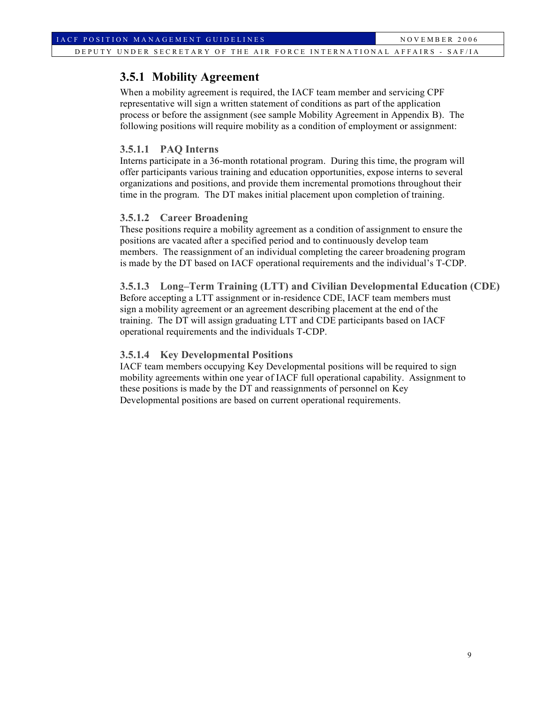### **3.5.1 Mobility Agreement**

When a mobility agreement is required, the IACF team member and servicing CPF representative will sign a written statement of conditions as part of the application process or before the assignment (see sample Mobility Agreement in Appendix B). The following positions will require mobility as a condition of employment or assignment:

#### **3.5.1.1 PAQ Interns**

Interns participate in a 36-month rotational program. During this time, the program will offer participants various training and education opportunities, expose interns to several organizations and positions, and provide them incremental promotions throughout their time in the program. The DT makes initial placement upon completion of training.

#### **3.5.1.2 Career Broadening**

These positions require a mobility agreement as a condition of assignment to ensure the positions are vacated after a specified period and to continuously develop team members. The reassignment of an individual completing the career broadening program is made by the DT based on IACF operational requirements and the individual's T-CDP.

**3.5.1.3 Long–Term Training (LTT) and Civilian Developmental Education (CDE)** Before accepting a LTT assignment or in-residence CDE, IACF team members must sign a mobility agreement or an agreement describing placement at the end of the training. The DT will assign graduating LTT and CDE participants based on IACF operational requirements and the individuals T-CDP.

#### **3.5.1.4 Key Developmental Positions**

IACF team members occupying Key Developmental positions will be required to sign mobility agreements within one year of IACF full operational capability. Assignment to these positions is made by the DT and reassignments of personnel on Key Developmental positions are based on current operational requirements.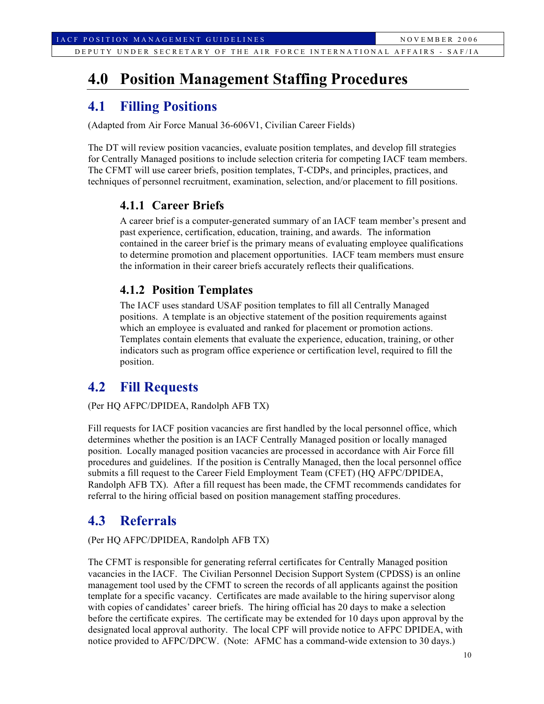## **4.0 Position Management Staffing Procedures**

## **4.1 Filling Positions**

(Adapted from Air Force Manual 36-606V1, Civilian Career Fields)

The DT will review position vacancies, evaluate position templates, and develop fill strategies for Centrally Managed positions to include selection criteria for competing IACF team members. The CFMT will use career briefs, position templates, T-CDPs, and principles, practices, and techniques of personnel recruitment, examination, selection, and/or placement to fill positions.

### **4.1.1 Career Briefs**

A career brief is a computer-generated summary of an IACF team member's present and past experience, certification, education, training, and awards. The information contained in the career brief is the primary means of evaluating employee qualifications to determine promotion and placement opportunities. IACF team members must ensure the information in their career briefs accurately reflects their qualifications.

### **4.1.2 Position Templates**

The IACF uses standard USAF position templates to fill all Centrally Managed positions. A template is an objective statement of the position requirements against which an employee is evaluated and ranked for placement or promotion actions. Templates contain elements that evaluate the experience, education, training, or other indicators such as program office experience or certification level, required to fill the position.

### **4.2 Fill Requests**

(Per HQ AFPC/DPIDEA, Randolph AFB TX)

Fill requests for IACF position vacancies are first handled by the local personnel office, which determines whether the position is an IACF Centrally Managed position or locally managed position. Locally managed position vacancies are processed in accordance with Air Force fill procedures and guidelines. If the position is Centrally Managed, then the local personnel office submits a fill request to the Career Field Employment Team (CFET) (HQ AFPC/DPIDEA, Randolph AFB TX). After a fill request has been made, the CFMT recommends candidates for referral to the hiring official based on position management staffing procedures.

### **4.3 Referrals**

(Per HQ AFPC/DPIDEA, Randolph AFB TX)

The CFMT is responsible for generating referral certificates for Centrally Managed position vacancies in the IACF. The Civilian Personnel Decision Support System (CPDSS) is an online management tool used by the CFMT to screen the records of all applicants against the position template for a specific vacancy. Certificates are made available to the hiring supervisor along with copies of candidates' career briefs. The hiring official has 20 days to make a selection before the certificate expires. The certificate may be extended for 10 days upon approval by the designated local approval authority. The local CPF will provide notice to AFPC DPIDEA, with notice provided to AFPC/DPCW. (Note: AFMC has a command-wide extension to 30 days.)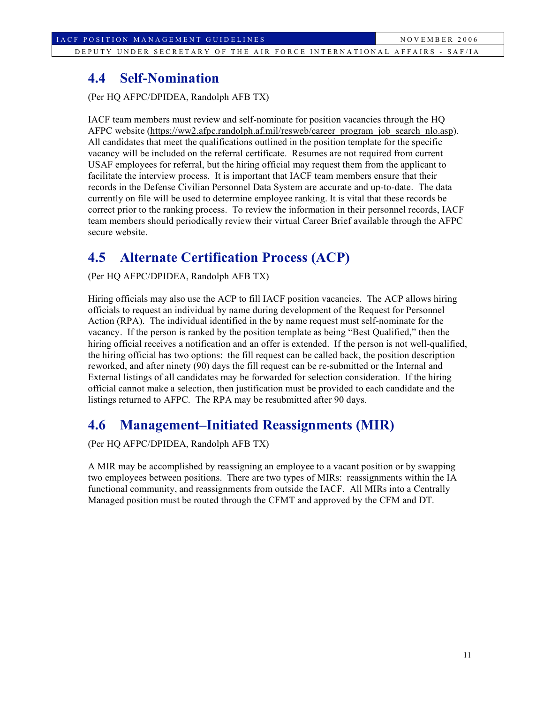### **4.4 Self-Nomination**

(Per HQ AFPC/DPIDEA, Randolph AFB TX)

IACF team members must review and self-nominate for position vacancies through the HQ AFPC website (https://ww2.afpc.randolph.af.mil/resweb/career\_program\_job\_search\_nlo.asp). All candidates that meet the qualifications outlined in the position template for the specific vacancy will be included on the referral certificate. Resumes are not required from current USAF employees for referral, but the hiring official may request them from the applicant to facilitate the interview process. It is important that IACF team members ensure that their records in the Defense Civilian Personnel Data System are accurate and up-to-date. The data currently on file will be used to determine employee ranking. It is vital that these records be correct prior to the ranking process. To review the information in their personnel records, IACF team members should periodically review their virtual Career Brief available through the AFPC secure website.

## **4.5 Alternate Certification Process (ACP)**

(Per HQ AFPC/DPIDEA, Randolph AFB TX)

Hiring officials may also use the ACP to fill IACF position vacancies. The ACP allows hiring officials to request an individual by name during development of the Request for Personnel Action (RPA). The individual identified in the by name request must self-nominate for the vacancy. If the person is ranked by the position template as being "Best Qualified," then the hiring official receives a notification and an offer is extended. If the person is not well-qualified, the hiring official has two options: the fill request can be called back, the position description reworked, and after ninety (90) days the fill request can be re-submitted or the Internal and External listings of all candidates may be forwarded for selection consideration. If the hiring official cannot make a selection, then justification must be provided to each candidate and the listings returned to AFPC. The RPA may be resubmitted after 90 days.

## **4.6 Management–Initiated Reassignments (MIR)**

(Per HQ AFPC/DPIDEA, Randolph AFB TX)

A MIR may be accomplished by reassigning an employee to a vacant position or by swapping two employees between positions. There are two types of MIRs: reassignments within the IA functional community, and reassignments from outside the IACF. All MIRs into a Centrally Managed position must be routed through the CFMT and approved by the CFM and DT.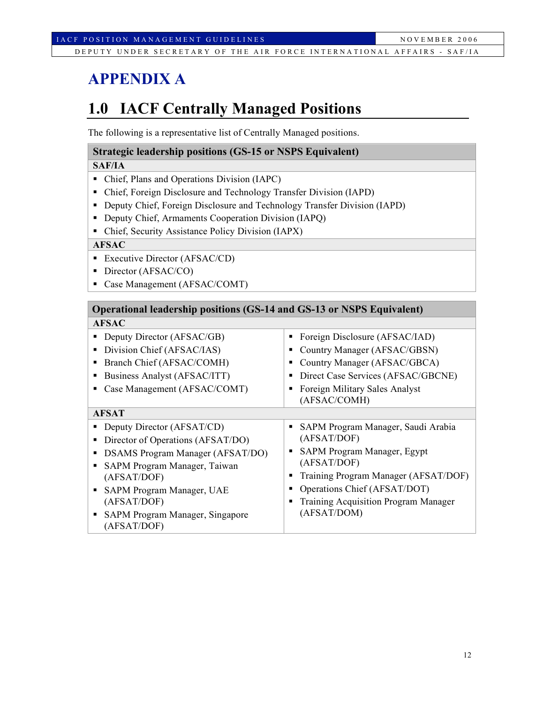# **APPENDIX A**

# **1.0 IACF Centrally Managed Positions**

The following is a representative list of Centrally Managed positions.

### **Strategic leadership positions (GS-15 or NSPS Equivalent)**

#### **SAF/IA**

- Chief, Plans and Operations Division (IAPC)
- Chief, Foreign Disclosure and Technology Transfer Division (IAPD)
- Deputy Chief, Foreign Disclosure and Technology Transfer Division (IAPD)
- Deputy Chief, Armaments Cooperation Division (IAPQ)
- Chief, Security Assistance Policy Division (IAPX)

### **AFSAC**

- **Executive Director (AFSAC/CD)**
- Director (AFSAC/CO)
- Case Management (AFSAC/COMT)

| <b>Operational leadership positions (GS-14 and GS-13 or NSPS Equivalent)</b>                                                                                                                                                                            |                                                                                                                                                                                                                                                                |  |  |  |
|---------------------------------------------------------------------------------------------------------------------------------------------------------------------------------------------------------------------------------------------------------|----------------------------------------------------------------------------------------------------------------------------------------------------------------------------------------------------------------------------------------------------------------|--|--|--|
| <b>AFSAC</b>                                                                                                                                                                                                                                            |                                                                                                                                                                                                                                                                |  |  |  |
| Deputy Director (AFSAC/GB)<br>Division Chief (AFSAC/IAS)<br>Branch Chief (AFSAC/COMH)<br>Business Analyst (AFSAC/ITT)<br>Case Management (AFSAC/COMT)                                                                                                   | Foreign Disclosure (AFSAC/IAD)<br>٠<br>Country Manager (AFSAC/GBSN)<br>п<br>Country Manager (AFSAC/GBCA)<br>٠<br>Direct Case Services (AFSAC/GBCNE)<br>п<br>Foreign Military Sales Analyst<br>٠<br>(AFSAC/COMH)                                                |  |  |  |
| <b>AFSAT</b>                                                                                                                                                                                                                                            |                                                                                                                                                                                                                                                                |  |  |  |
| Deputy Director (AFSAT/CD)<br>Director of Operations (AFSAT/DO)<br><b>DSAMS</b> Program Manager (AFSAT/DO)<br>SAPM Program Manager, Taiwan<br>(AFSAT/DOF)<br>SAPM Program Manager, UAE<br>(AFSAT/DOF)<br>SAPM Program Manager, Singapore<br>(AFSAT/DOF) | SAPM Program Manager, Saudi Arabia<br>٠<br>(AFSAT/DOF)<br>SAPM Program Manager, Egypt<br>٠<br>(AFSAT/DOF)<br>Training Program Manager (AFSAT/DOF)<br>п<br>Operations Chief (AFSAT/DOT)<br>п<br><b>Training Acquisition Program Manager</b><br>٠<br>(AFSAT/DOM) |  |  |  |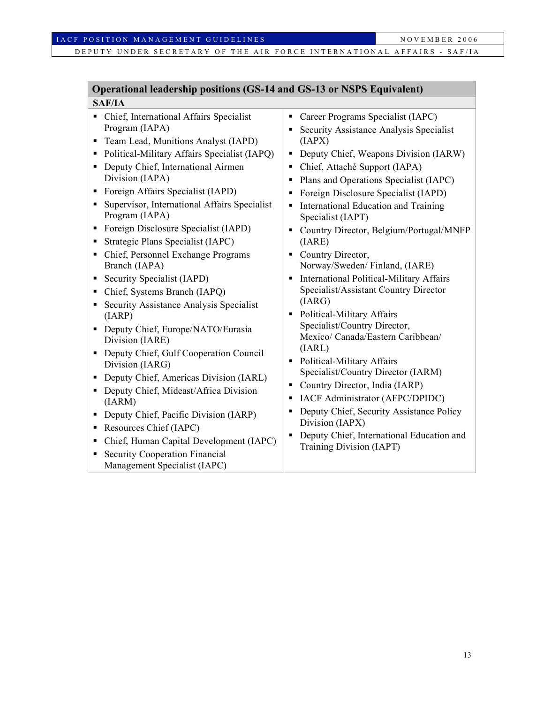#### IACF POSITION MANAGEMENT GUIDELINES NOVEMBER 2006

DEPUTY UNDER SECRETARY OF THE AIR FORCE INTERNATIONAL AFFAIRS - SAF/IA

#### **Operational leadership positions (GS-14 and GS-13 or NSPS Equivalent) SAF/IA** Chief, International Affairs Specialist Career Programs Specialist (IAPC)

- Program (IAPA)
- Team Lead, Munitions Analyst (IAPD)
- Political-Military Affairs Specialist (IAPQ)
- Deputy Chief, International Airmen Division (IAPA)
- Foreign Affairs Specialist (IAPD)
- **Supervisor, International Affairs Specialist** Program (IAPA)
- Foreign Disclosure Specialist (IAPD)
- Strategic Plans Specialist (IAPC)
- Chief, Personnel Exchange Programs Branch (IAPA)
- Security Specialist (IAPD)
- Chief, Systems Branch (IAPQ)
- Security Assistance Analysis Specialist (IARP)
- Deputy Chief, Europe/NATO/Eurasia Division (IARE)
- Deputy Chief, Gulf Cooperation Council Division (IARG)
- Deputy Chief, Americas Division (IARL)
- Deputy Chief, Mideast/Africa Division (IARM)
- Deputy Chief, Pacific Division (IARP)
- Resources Chief (IAPC)
- Chief, Human Capital Development (IAPC)
- **Security Cooperation Financial** Management Specialist (IAPC)
- Security Assistance Analysis Specialist (IAPX)
- Deputy Chief, Weapons Division (IARW)
- Chief, Attaché Support (IAPA)
- Plans and Operations Specialist (IAPC)
- Foreign Disclosure Specialist (IAPD)
- **International Education and Training** Specialist (IAPT)
- Country Director, Belgium/Portugal/MNFP (IARE)
- Country Director, Norway/Sweden/ Finland, (IARE)
- International Political-Military Affairs Specialist/Assistant Country Director (IARG)
- Political-Military Affairs Specialist/Country Director, Mexico/ Canada/Eastern Caribbean/ (IARL)
- Political-Military Affairs Specialist/Country Director (IARM)
- Country Director, India (IARP)
- IACF Administrator (AFPC/DPIDC)
- Deputy Chief, Security Assistance Policy Division (IAPX)
- Deputy Chief, International Education and Training Division (IAPT)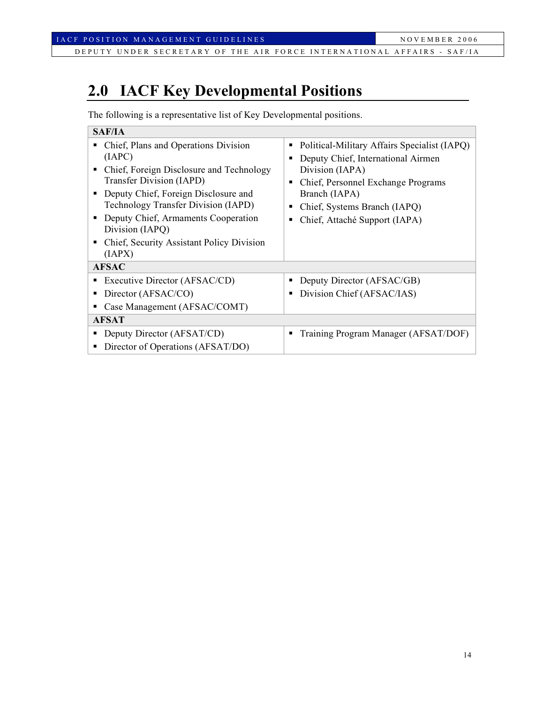# **2.0 IACF Key Developmental Positions**

The following is a representative list of Key Developmental positions.

| <b>SAF/IA</b>                                                                                                                                                                                                                                                                                                                             |                                                                                                                                                                                                                               |  |  |  |
|-------------------------------------------------------------------------------------------------------------------------------------------------------------------------------------------------------------------------------------------------------------------------------------------------------------------------------------------|-------------------------------------------------------------------------------------------------------------------------------------------------------------------------------------------------------------------------------|--|--|--|
| Chief, Plans and Operations Division<br>(IAPC)<br>Chief, Foreign Disclosure and Technology<br>п<br><b>Transfer Division (IAPD)</b><br>Deputy Chief, Foreign Disclosure and<br><b>Technology Transfer Division (IAPD)</b><br>Deputy Chief, Armaments Cooperation<br>Division (IAPQ)<br>Chief, Security Assistant Policy Division<br>(IAPX) | Political-Military Affairs Specialist (IAPQ)<br>Deputy Chief, International Airmen<br>Division (IAPA)<br>Chief, Personnel Exchange Programs<br>Branch (IAPA)<br>Chief, Systems Branch (IAPQ)<br>Chief, Attaché Support (IAPA) |  |  |  |
| <b>AFSAC</b>                                                                                                                                                                                                                                                                                                                              |                                                                                                                                                                                                                               |  |  |  |
| Executive Director (AFSAC/CD)<br>п                                                                                                                                                                                                                                                                                                        | Deputy Director (AFSAC/GB)                                                                                                                                                                                                    |  |  |  |
| Director (AFSAC/CO)<br>п                                                                                                                                                                                                                                                                                                                  | Division Chief (AFSAC/IAS)                                                                                                                                                                                                    |  |  |  |
| Case Management (AFSAC/COMT)                                                                                                                                                                                                                                                                                                              |                                                                                                                                                                                                                               |  |  |  |
| <b>AFSAT</b>                                                                                                                                                                                                                                                                                                                              |                                                                                                                                                                                                                               |  |  |  |
| Deputy Director (AFSAT/CD)<br>Director of Operations (AFSAT/DO)<br>п                                                                                                                                                                                                                                                                      | Training Program Manager (AFSAT/DOF)                                                                                                                                                                                          |  |  |  |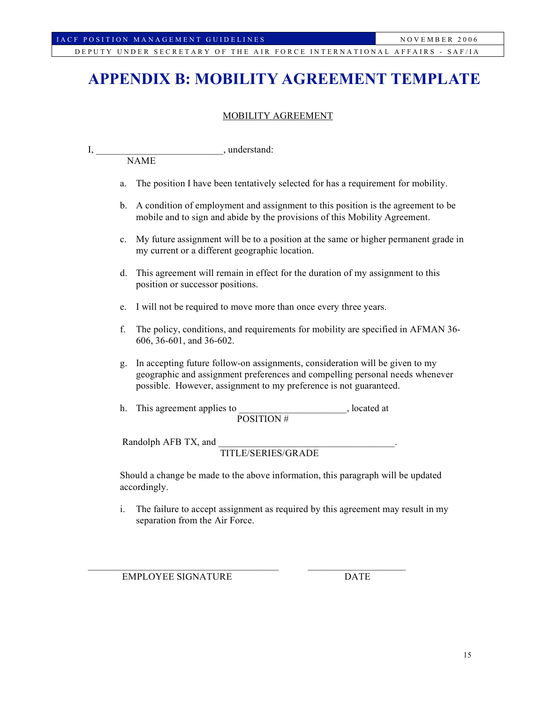# **APPENDIX B: MOBILITY AGREEMENT TEMPLATE**

#### MOBILITY AGREEMENT

| π. |             | understand: |  |
|----|-------------|-------------|--|
|    | <b>NAME</b> |             |  |

- a. The position I have been tentatively selected for has a requirement for mobility.
- b. A condition of employment and assignment to this position is the agreement to be mobile and to sign and abide by the provisions of this Mobility Agreement.
- c. My future assignment will be to a position at the same or higher permanent grade in my current or a different geographic location.
- d. This agreement will remain in effect for the duration of my assignment to this position or successor positions.
- e. I will not be required to move more than once every three years.
- f. The policy, conditions, and requirements for mobility are specified in AFMAN 36- 606, 36-601, and 36-602.
- g. In accepting future follow-on assignments, consideration will be given to my geographic and assignment preferences and compelling personal needs whenever possible. However, assignment to my preference is not guaranteed.
- h. This agreement applies to be a set of the second second second second second second second second second second second second second second second second second second second second second second second second second se POSITION #

 $\mathcal{L}_\text{max} = \mathcal{L}_\text{max} = \mathcal{L}_\text{max} = \mathcal{L}_\text{max} = \mathcal{L}_\text{max} = \mathcal{L}_\text{max} = \mathcal{L}_\text{max} = \mathcal{L}_\text{max} = \mathcal{L}_\text{max} = \mathcal{L}_\text{max} = \mathcal{L}_\text{max} = \mathcal{L}_\text{max} = \mathcal{L}_\text{max} = \mathcal{L}_\text{max} = \mathcal{L}_\text{max} = \mathcal{L}_\text{max} = \mathcal{L}_\text{max} = \mathcal{L}_\text{max} = \mathcal{$ 

Randolph AFB TX, and

TITLE/SERIES/GRADE

Should a change be made to the above information, this paragraph will be updated accordingly.

i. The failure to accept assignment as required by this agreement may result in my separation from the Air Force.

EMPLOYEE SIGNATURE DATE